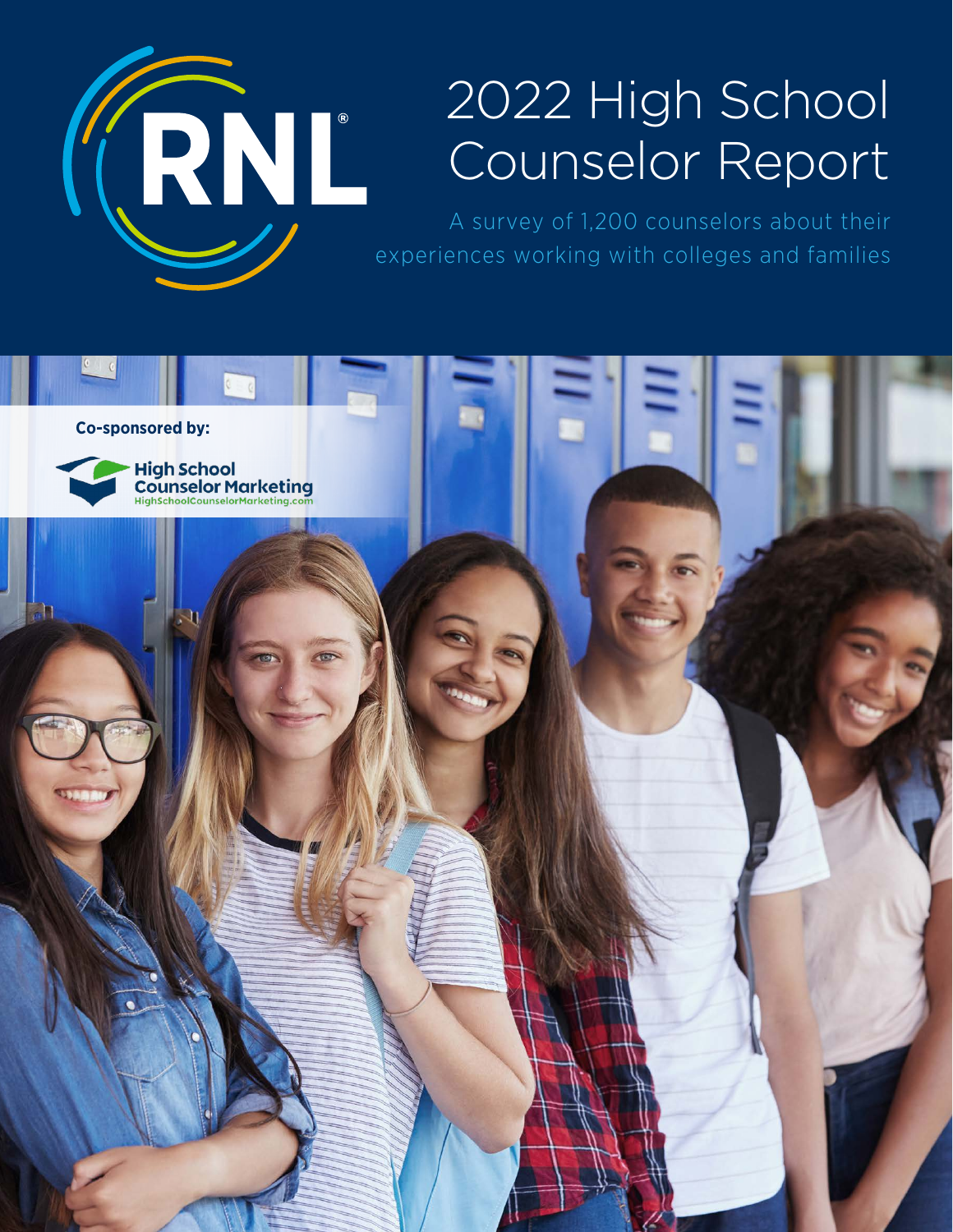

# 2022 High School Counselor Report

A survey of 1,200 counselors about their experiences working with colleges and families

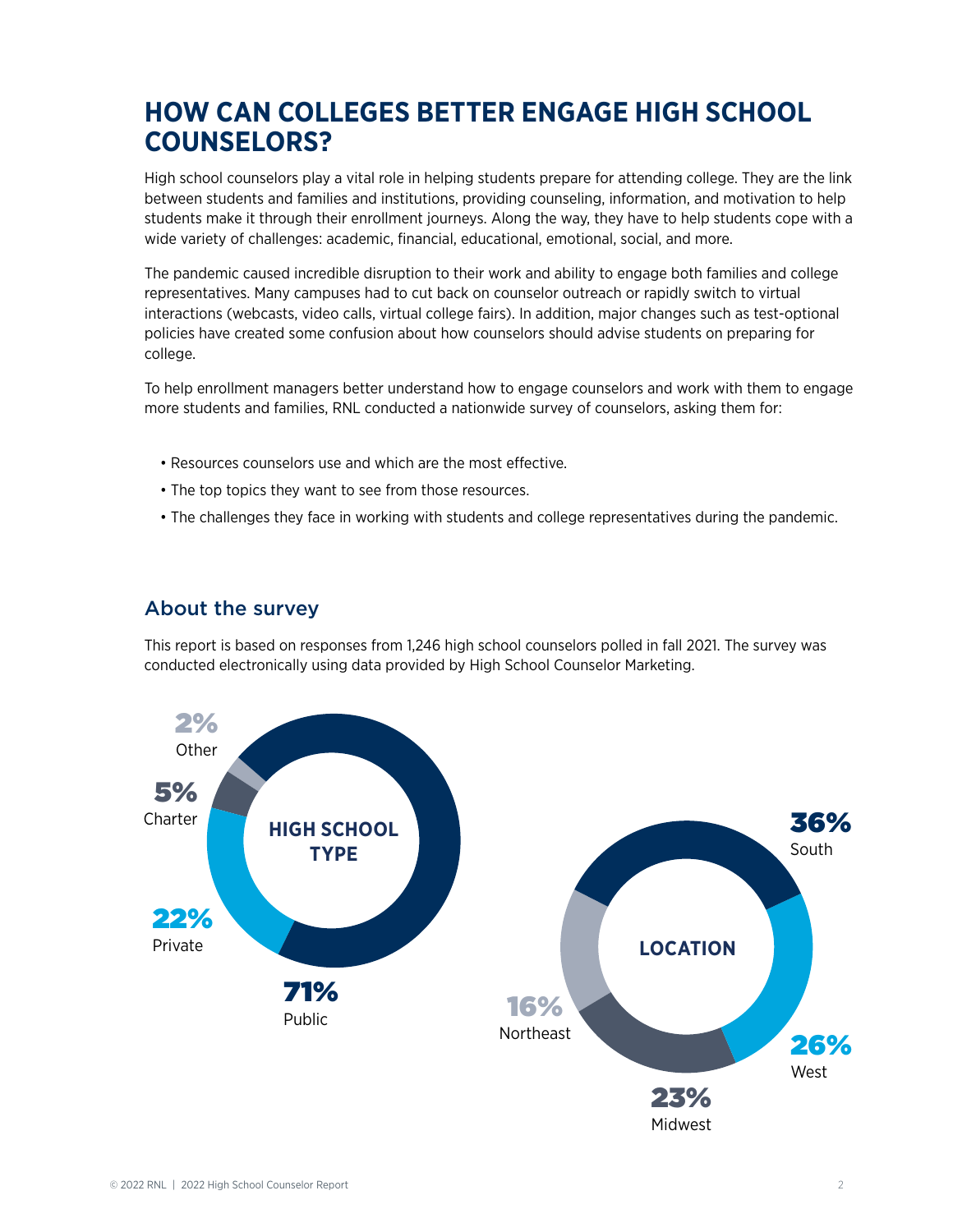# **HOW CAN COLLEGES BETTER ENGAGE HIGH SCHOOL COUNSELORS?**

High school counselors play a vital role in helping students prepare for attending college. They are the link between students and families and institutions, providing counseling, information, and motivation to help students make it through their enrollment journeys. Along the way, they have to help students cope with a wide variety of challenges: academic, financial, educational, emotional, social, and more.

The pandemic caused incredible disruption to their work and ability to engage both families and college representatives. Many campuses had to cut back on counselor outreach or rapidly switch to virtual interactions (webcasts, video calls, virtual college fairs). In addition, major changes such as test-optional policies have created some confusion about how counselors should advise students on preparing for college.

To help enrollment managers better understand how to engage counselors and work with them to engage more students and families, RNL conducted a nationwide survey of counselors, asking them for:

- Resources counselors use and which are the most effective.
- The top topics they want to see from those resources.
- The challenges they face in working with students and college representatives during the pandemic.

### About the survey

This report is based on responses from 1,246 high school counselors polled in fall 2021. The survey was conducted electronically using data provided by High School Counselor Marketing.

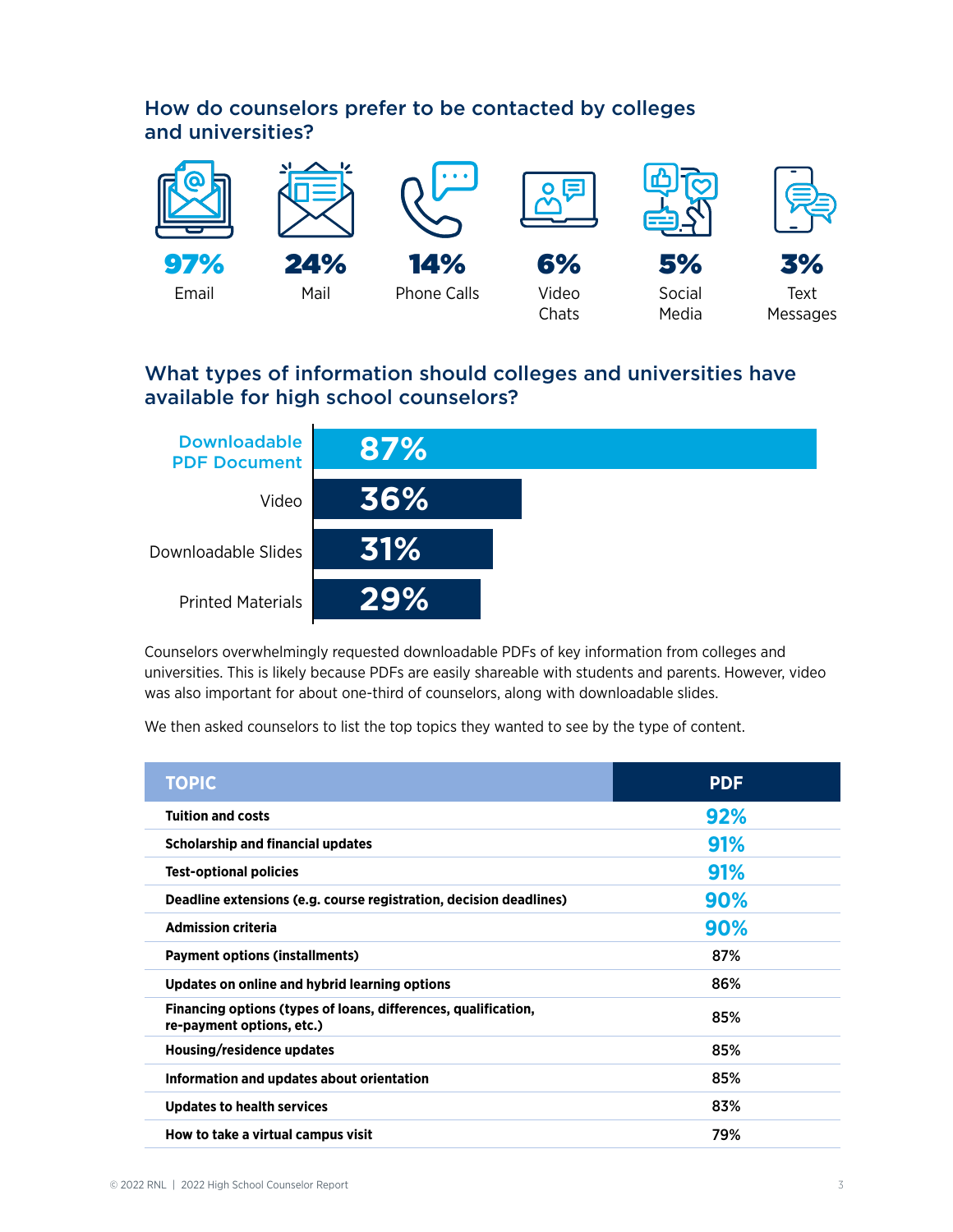# How do counselors prefer to be contacted by colleges and universities?



# What types of information should colleges and universities have available for high school counselors?



Counselors overwhelmingly requested downloadable PDFs of key information from colleges and universities. This is likely because PDFs are easily shareable with students and parents. However, video was also important for about one-third of counselors, along with downloadable slides.

We then asked counselors to list the top topics they wanted to see by the type of content.

| <b>TOPIC</b>                                                                                | <b>PDF</b> |
|---------------------------------------------------------------------------------------------|------------|
| <b>Tuition and costs</b>                                                                    | 92%        |
| <b>Scholarship and financial updates</b>                                                    | 91%        |
| <b>Test-optional policies</b>                                                               | 91%        |
| Deadline extensions (e.g. course registration, decision deadlines)                          | 90%        |
| <b>Admission criteria</b>                                                                   | 90%        |
| <b>Payment options (installments)</b>                                                       | 87%        |
| Updates on online and hybrid learning options                                               | 86%        |
| Financing options (types of loans, differences, qualification,<br>re-payment options, etc.) | 85%        |
| Housing/residence updates                                                                   | 85%        |
| Information and updates about orientation                                                   | 85%        |
| <b>Updates to health services</b>                                                           | 83%        |
| How to take a virtual campus visit                                                          | 79%        |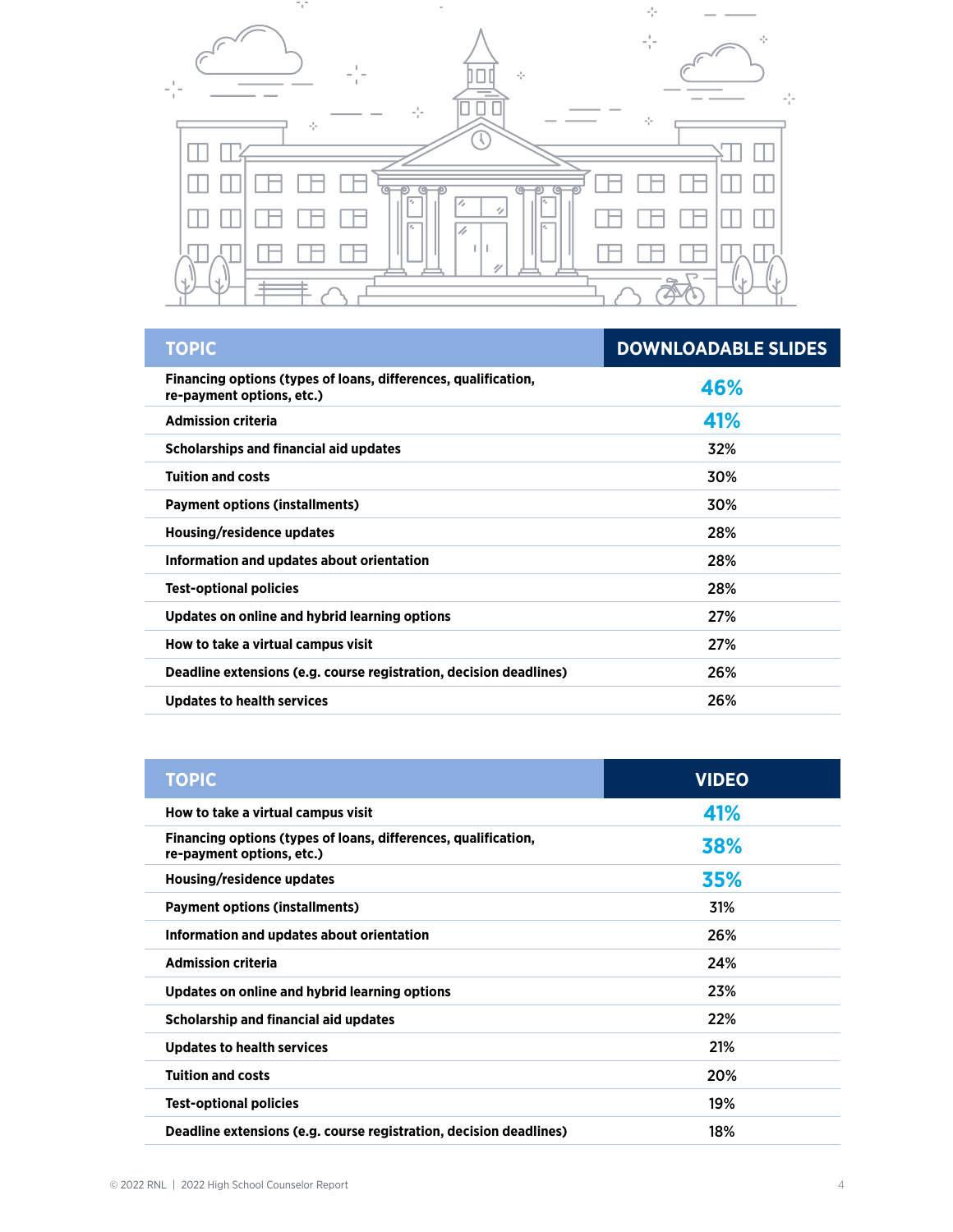

| <b>TOPIC</b>                                                                                | <b>DOWNLOADABLE SLIDES</b> |
|---------------------------------------------------------------------------------------------|----------------------------|
| Financing options (types of loans, differences, qualification,<br>re-payment options, etc.) | 46%                        |
| <b>Admission criteria</b>                                                                   | 41%                        |
| Scholarships and financial aid updates                                                      | 32%                        |
| <b>Tuition and costs</b>                                                                    | 30%                        |
| <b>Payment options (installments)</b>                                                       | 30%                        |
| Housing/residence updates                                                                   | 28%                        |
| Information and updates about orientation                                                   | 28%                        |
| <b>Test-optional policies</b>                                                               | 28%                        |
| Updates on online and hybrid learning options                                               | 27%                        |
| How to take a virtual campus visit                                                          | 27%                        |
| Deadline extensions (e.g. course registration, decision deadlines)                          | 26%                        |
| <b>Updates to health services</b>                                                           | 26%                        |
|                                                                                             |                            |

| <b>TOPIC</b>                                                                                | <b>VIDEO</b> |
|---------------------------------------------------------------------------------------------|--------------|
| How to take a virtual campus visit                                                          | 41%          |
| Financing options (types of loans, differences, qualification,<br>re-payment options, etc.) | 38%          |
| Housing/residence updates                                                                   | 35%          |
| <b>Payment options (installments)</b>                                                       | 31%          |
| Information and updates about orientation                                                   | 26%          |
| <b>Admission criteria</b>                                                                   | 24%          |
| Updates on online and hybrid learning options                                               | 23%          |
| <b>Scholarship and financial aid updates</b>                                                | 22%          |
| <b>Updates to health services</b>                                                           | 21%          |
| <b>Tuition and costs</b>                                                                    | 20%          |
| <b>Test-optional policies</b>                                                               | 19%          |
| Deadline extensions (e.g. course registration, decision deadlines)                          | 18%          |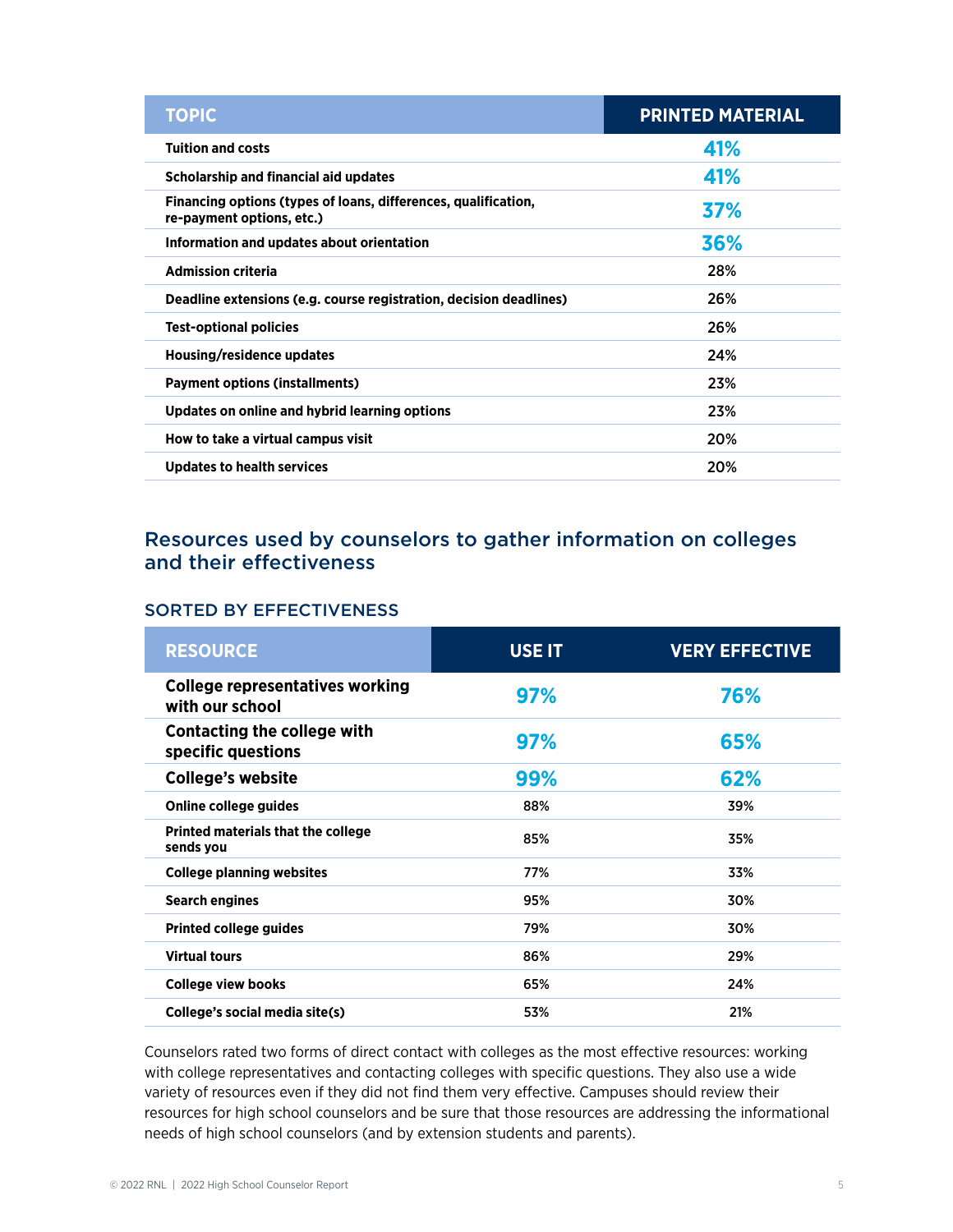| <b>TOPIC</b>                                                                                | <b>PRINTED MATERIAL</b> |
|---------------------------------------------------------------------------------------------|-------------------------|
| <b>Tuition and costs</b>                                                                    | 41%                     |
| Scholarship and financial aid updates                                                       | 41%                     |
| Financing options (types of loans, differences, qualification,<br>re-payment options, etc.) | 37%                     |
| Information and updates about orientation                                                   | 36%                     |
| <b>Admission criteria</b>                                                                   | 28%                     |
| Deadline extensions (e.g. course registration, decision deadlines)                          | 26%                     |
| <b>Test-optional policies</b>                                                               | 26%                     |
| Housing/residence updates                                                                   | 24%                     |
| <b>Payment options (installments)</b>                                                       | 23%                     |
| Updates on online and hybrid learning options                                               | 23%                     |
| How to take a virtual campus visit                                                          | 20%                     |
| <b>Updates to health services</b>                                                           | 20%                     |

## Resources used by counselors to gather information on colleges and their effectiveness

#### SORTED BY EFFECTIVENESS

| <b>RESOURCE</b>                                           | <b>USE IT</b> | <b>VERY EFFECTIVE</b> |
|-----------------------------------------------------------|---------------|-----------------------|
| <b>College representatives working</b><br>with our school | 97%           | 76%                   |
| <b>Contacting the college with</b><br>specific questions  | 97%           | 65%                   |
| <b>College's website</b>                                  | 99%           | 62%                   |
| Online college guides                                     | 88%           | 39%                   |
| Printed materials that the college<br>sends you           | 85%           | 35%                   |
| <b>College planning websites</b>                          | 77%           | 33%                   |
| <b>Search engines</b>                                     | 95%           | 30%                   |
| <b>Printed college guides</b>                             | 79%           | 30%                   |
| <b>Virtual tours</b>                                      | 86%           | 29%                   |
| College view books                                        | 65%           | 24%                   |
| College's social media site(s)                            | 53%           | 21%                   |

Counselors rated two forms of direct contact with colleges as the most effective resources: working with college representatives and contacting colleges with specific questions. They also use a wide variety of resources even if they did not find them very effective. Campuses should review their resources for high school counselors and be sure that those resources are addressing the informational needs of high school counselors (and by extension students and parents).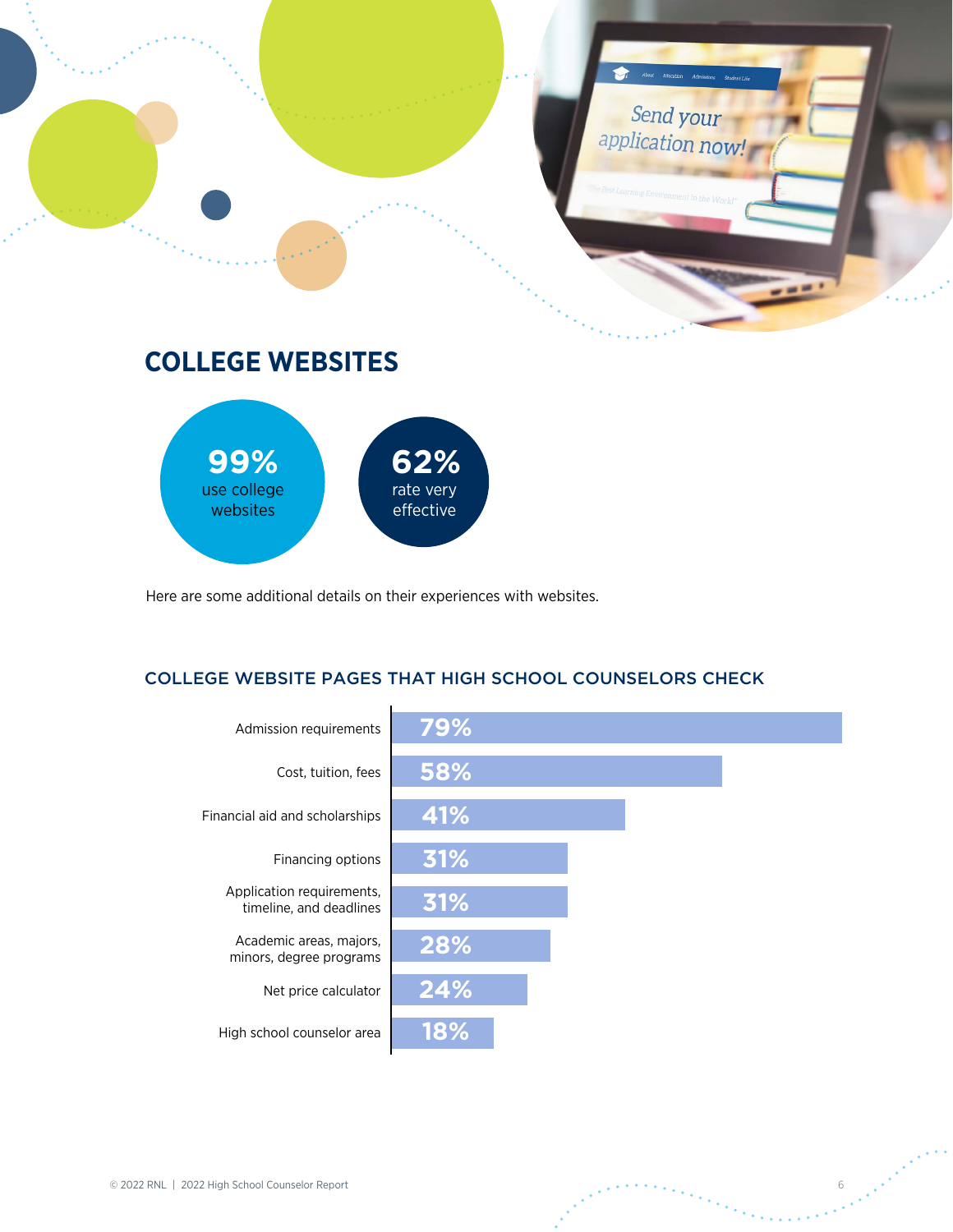

# **COLLEGE WEBSITES**



Here are some additional details on their experiences with websites.

### COLLEGE WEBSITE PAGES THAT HIGH SCHOOL COUNSELORS CHECK

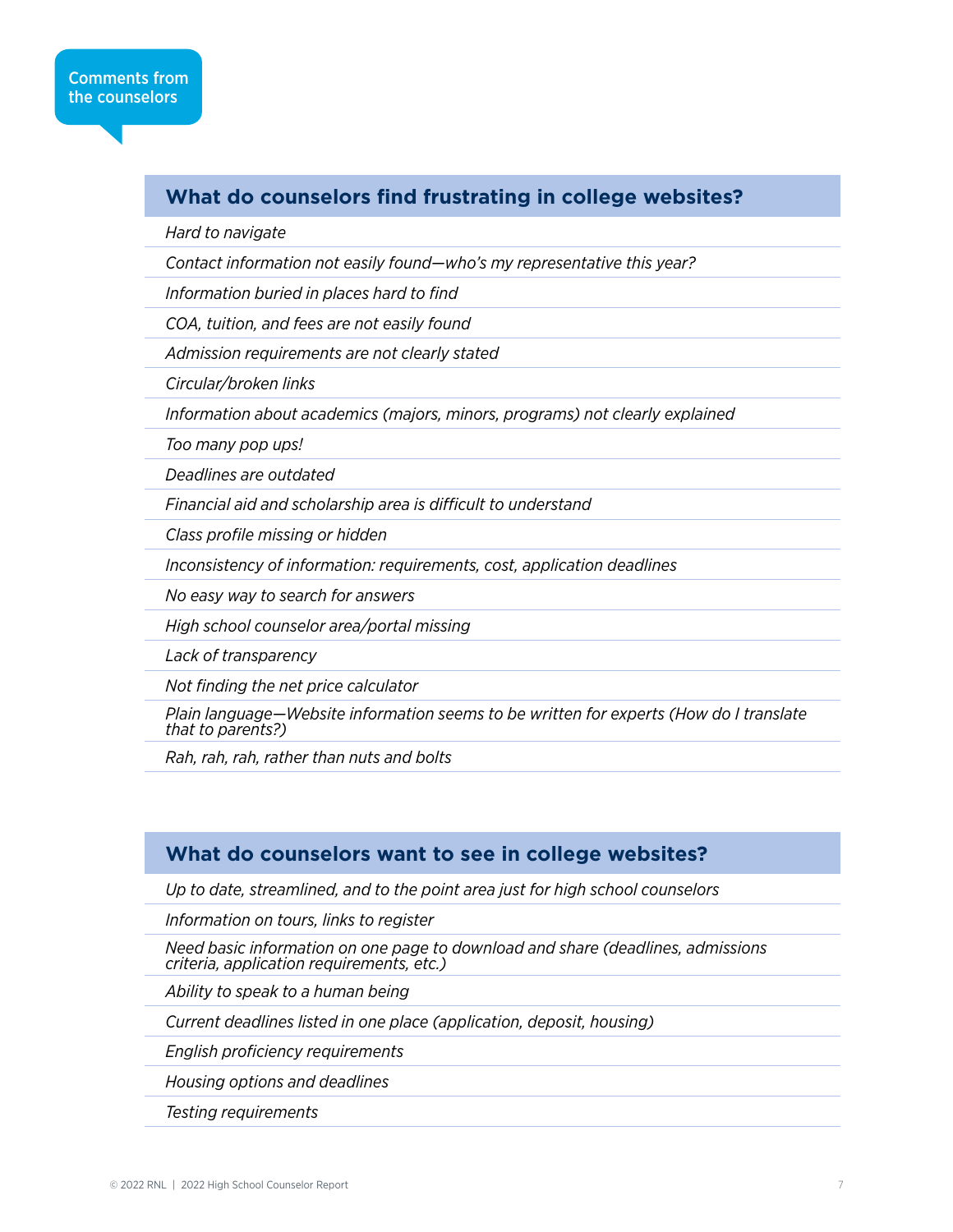### **What do counselors find frustrating in college websites?**

*Hard to navigate*

*Contact information not easily found—who's my representative this year?*

*Information buried in places hard to find*

*COA, tuition, and fees are not easily found*

*Admission requirements are not clearly stated*

*Circular/broken links*

*Information about academics (majors, minors, programs) not clearly explained*

*Too many pop ups!*

*Deadlines are outdated*

*Financial aid and scholarship area is difficult to understand*

*Class profile missing or hidden*

*Inconsistency of information: requirements, cost, application deadlines*

*No easy way to search for answers*

*High school counselor area/portal missing*

*Lack of transparency*

*Not finding the net price calculator*

*Plain language—Website information seems to be written for experts (How do I translate that to parents?)*

*Rah, rah, rah, rather than nuts and bolts*

### **What do counselors want to see in college websites?**

*Up to date, streamlined, and to the point area just for high school counselors*

*Information on tours, links to register*

*Need basic information on one page to download and share (deadlines, admissions criteria, application requirements, etc.)*

*Ability to speak to a human being*

*Current deadlines listed in one place (application, deposit, housing)*

*English proficiency requirements*

*Housing options and deadlines*

*Testing requirements*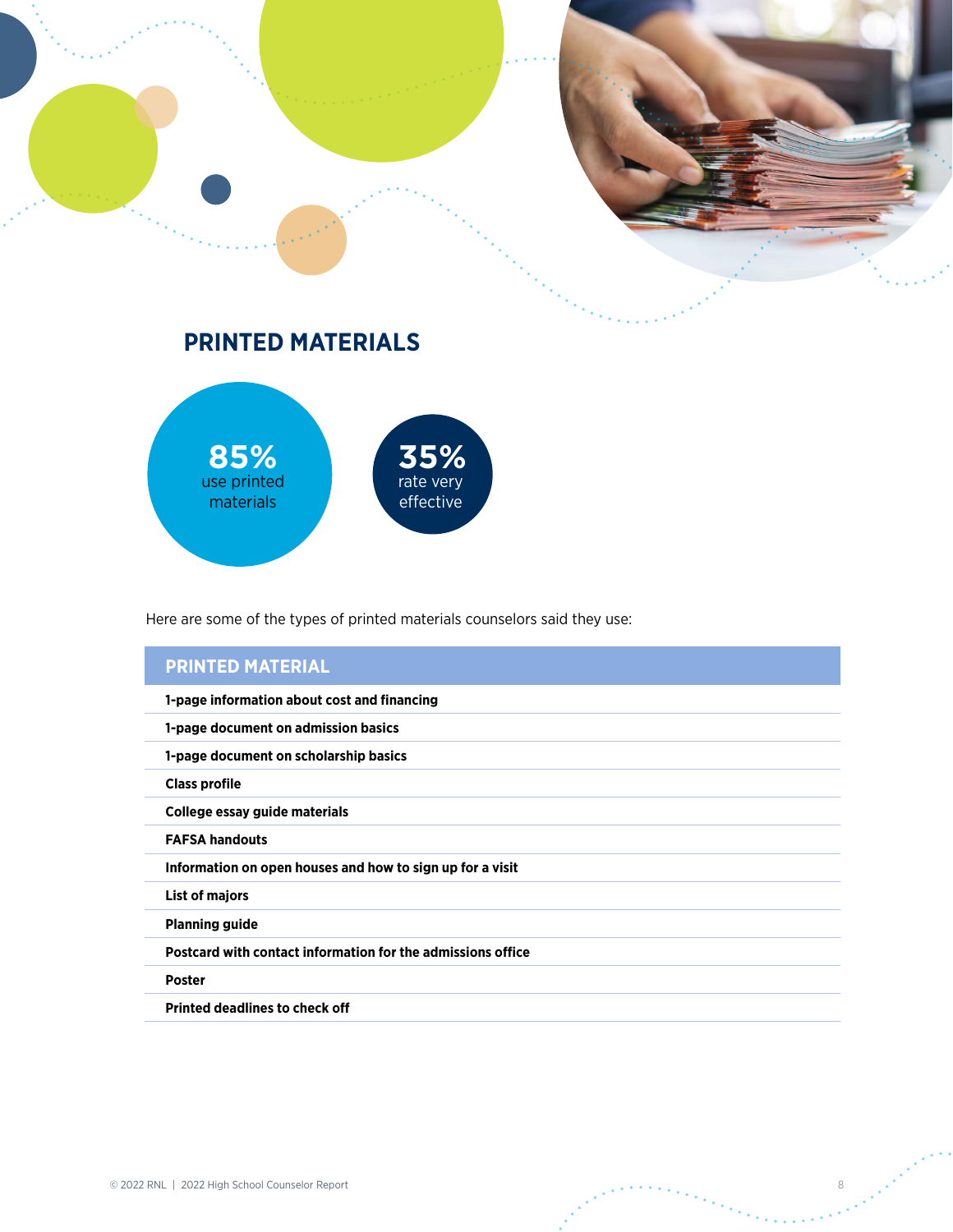

# **PRINTED MATERIALS**



Here are some of the types of printed materials counselors said they use:

# **PRINTED MATERIAL**

| 1-page information about cost and financing                 |
|-------------------------------------------------------------|
| 1-page document on admission basics                         |
| 1-page document on scholarship basics                       |
| <b>Class profile</b>                                        |
| College essay guide materials                               |
| <b>FAFSA handouts</b>                                       |
| Information on open houses and how to sign up for a visit   |
| List of majors                                              |
| <b>Planning guide</b>                                       |
| Postcard with contact information for the admissions office |
| <b>Poster</b>                                               |
| <b>Printed deadlines to check off</b>                       |
|                                                             |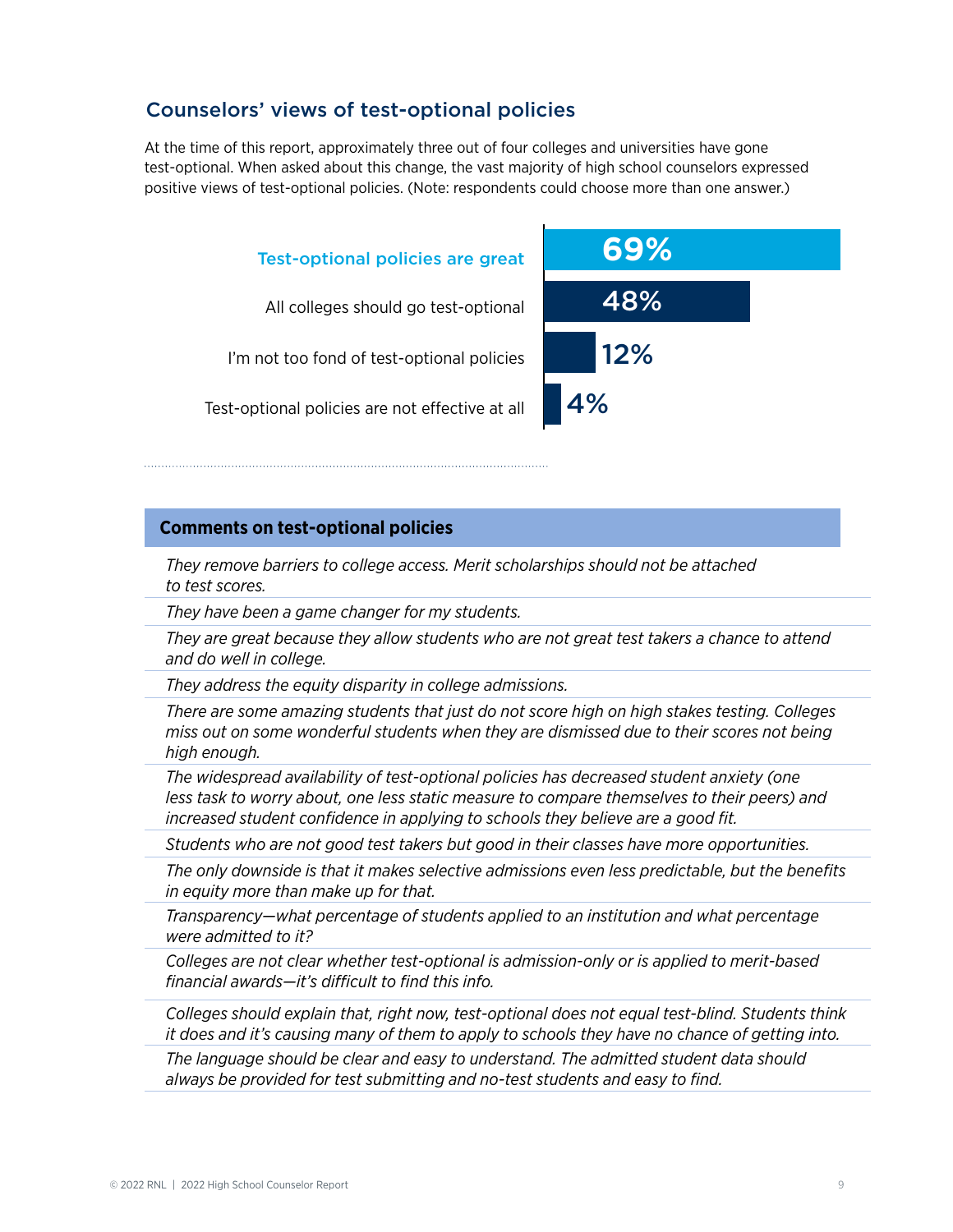### Counselors' views of test-optional policies

At the time of this report, approximately three out of four colleges and universities have gone test-optional. When asked about this change, the vast majority of high school counselors expressed positive views of test-optional policies. (Note: respondents could choose more than one answer.)



#### **Comments on test-optional policies**

*They remove barriers to college access. Merit scholarships should not be attached to test scores.*

*They have been a game changer for my students.*

*They are great because they allow students who are not great test takers a chance to attend and do well in college.*

*They address the equity disparity in college admissions.*

*There are some amazing students that just do not score high on high stakes testing. Colleges miss out on some wonderful students when they are dismissed due to their scores not being high enough.*

*The widespread availability of test-optional policies has decreased student anxiety (one less task to worry about, one less static measure to compare themselves to their peers) and increased student confidence in applying to schools they believe are a good fit.*

*Students who are not good test takers but good in their classes have more opportunities.*

*The only downside is that it makes selective admissions even less predictable, but the benefits in equity more than make up for that.*

*Transparency—what percentage of students applied to an institution and what percentage were admitted to it?*

*Colleges are not clear whether test-optional is admission-only or is applied to merit-based financial awards—it's difficult to find this info.*

*Colleges should explain that, right now, test-optional does not equal test-blind. Students think it does and it's causing many of them to apply to schools they have no chance of getting into.*

*The language should be clear and easy to understand. The admitted student data should always be provided for test submitting and no-test students and easy to find.*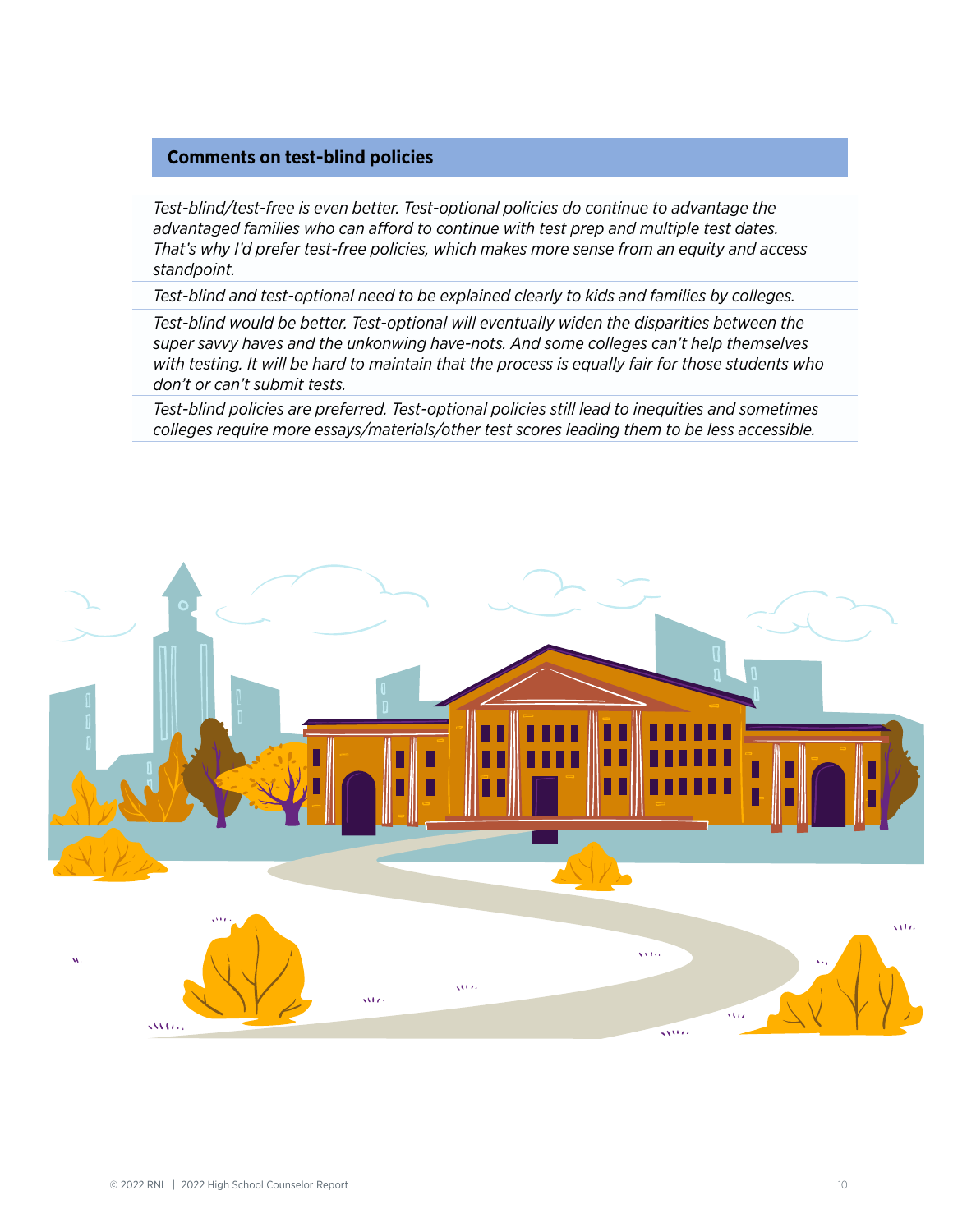#### **Comments on test-blind policies**

*Test-blind/test-free is even better. Test-optional policies do continue to advantage the advantaged families who can afford to continue with test prep and multiple test dates. That's why I'd prefer test-free policies, which makes more sense from an equity and access standpoint.*

*Test-blind and test-optional need to be explained clearly to kids and families by colleges.*

*Test-blind would be better. Test-optional will eventually widen the disparities between the super savvy haves and the unkonwing have-nots. And some colleges can't help themselves with testing. It will be hard to maintain that the process is equally fair for those students who don't or can't submit tests.*

*Test-blind policies are preferred. Test-optional policies still lead to inequities and sometimes colleges require more essays/materials/other test scores leading them to be less accessible.*

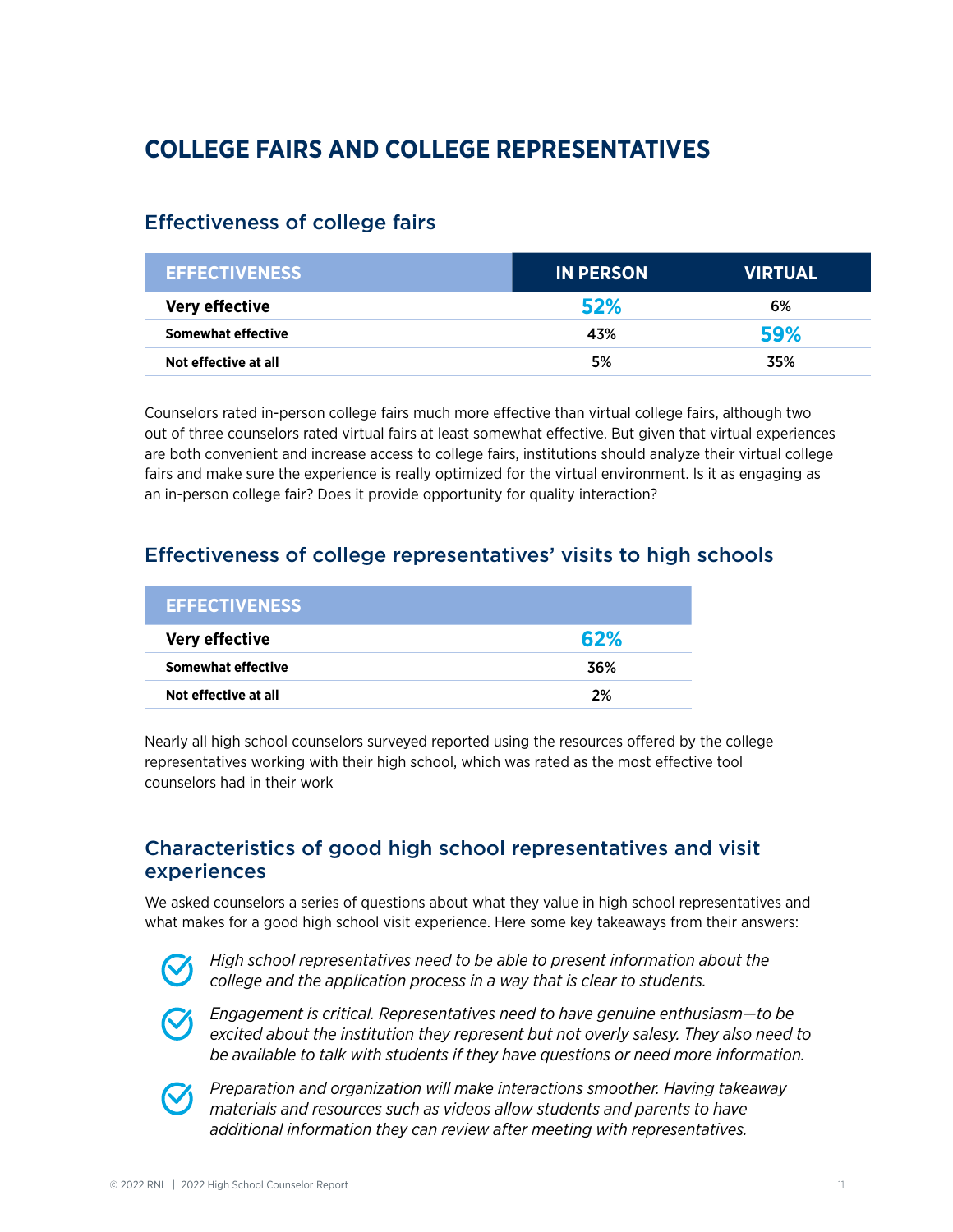# **COLLEGE FAIRS AND COLLEGE REPRESENTATIVES**

## Effectiveness of college fairs

| <b>EFFECTIVENESS</b>  | <b>IN PERSON!</b> | <b>VIRTUAL</b> |
|-----------------------|-------------------|----------------|
| <b>Very effective</b> | 52%               | 6%             |
| Somewhat effective    | 43%               | 59%            |
| Not effective at all  | 5%                | 35%            |

Counselors rated in-person college fairs much more effective than virtual college fairs, although two out of three counselors rated virtual fairs at least somewhat effective. But given that virtual experiences are both convenient and increase access to college fairs, institutions should analyze their virtual college fairs and make sure the experience is really optimized for the virtual environment. Is it as engaging as an in-person college fair? Does it provide opportunity for quality interaction?

## Effectiveness of college representatives' visits to high schools

| <b>EFFECTIVENESS</b>  |     |
|-----------------------|-----|
| <b>Very effective</b> | 62% |
| Somewhat effective    | 36% |
| Not effective at all  | 2%  |

Nearly all high school counselors surveyed reported using the resources offered by the college representatives working with their high school, which was rated as the most effective tool counselors had in their work

### Characteristics of good high school representatives and visit experiences

We asked counselors a series of questions about what they value in high school representatives and what makes for a good high school visit experience. Here some key takeaways from their answers:



*High school representatives need to be able to present information about the college and the application process in a way that is clear to students.*



*Engagement is critical. Representatives need to have genuine enthusiasm—to be excited about the institution they represent but not overly salesy. They also need to be available to talk with students if they have questions or need more information.*



*Preparation and organization will make interactions smoother. Having takeaway materials and resources such as videos allow students and parents to have additional information they can review after meeting with representatives.*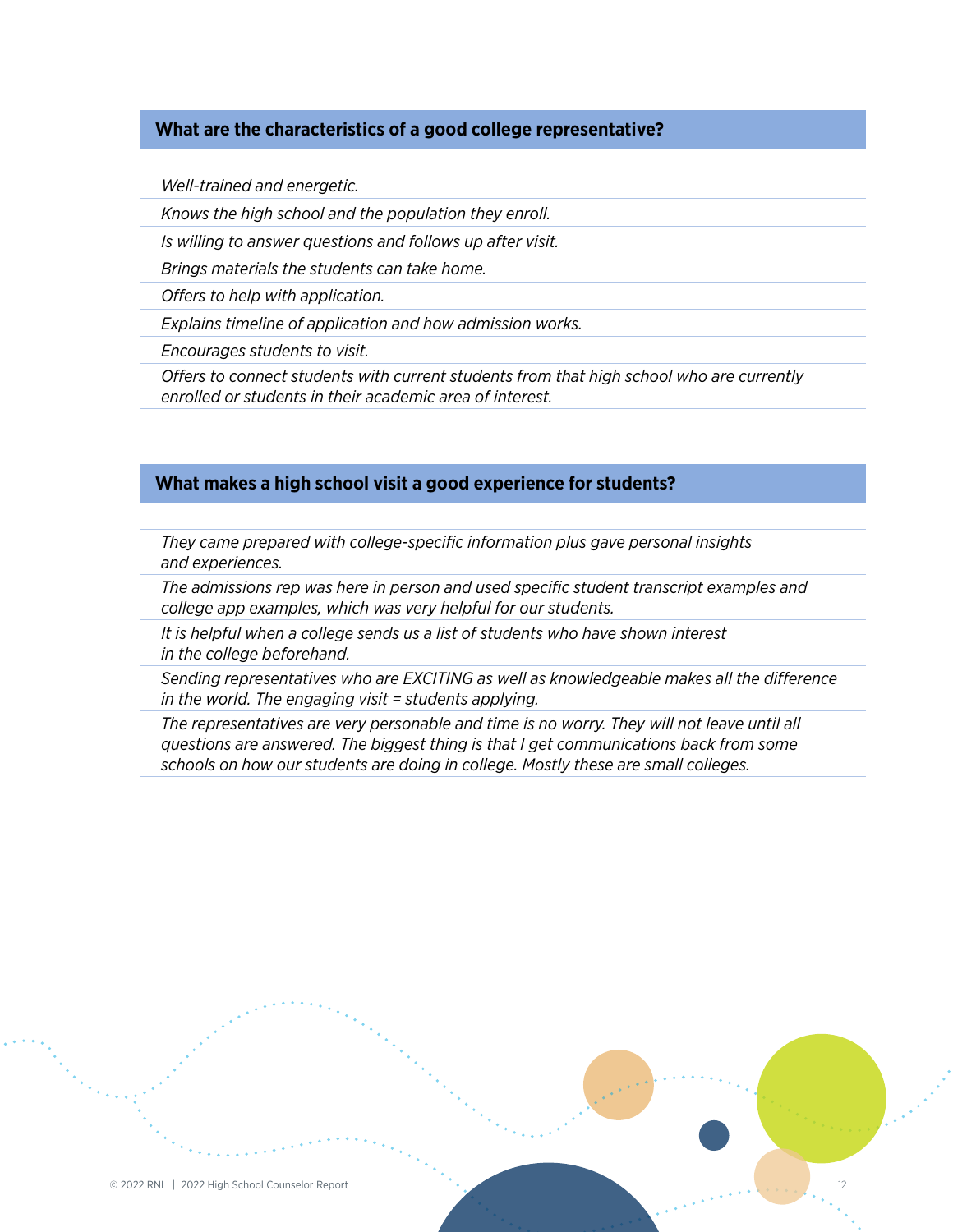#### **What are the characteristics of a good college representative?**

*Well-trained and energetic.*

*Knows the high school and the population they enroll.*

*Is willing to answer questions and follows up after visit.*

*Brings materials the students can take home.*

*Offers to help with application.*

*Explains timeline of application and how admission works.*

*Encourages students to visit.*

*Offers to connect students with current students from that high school who are currently enrolled or students in their academic area of interest.*

#### **What makes a high school visit a good experience for students?**

*They came prepared with college-specific information plus gave personal insights and experiences.*

*The admissions rep was here in person and used specific student transcript examples and college app examples, which was very helpful for our students.*

*It is helpful when a college sends us a list of students who have shown interest in the college beforehand.*

*Sending representatives who are EXCITING as well as knowledgeable makes all the difference in the world. The engaging visit = students applying.*

*The representatives are very personable and time is no worry. They will not leave until all questions are answered. The biggest thing is that I get communications back from some schools on how our students are doing in college. Mostly these are small colleges.*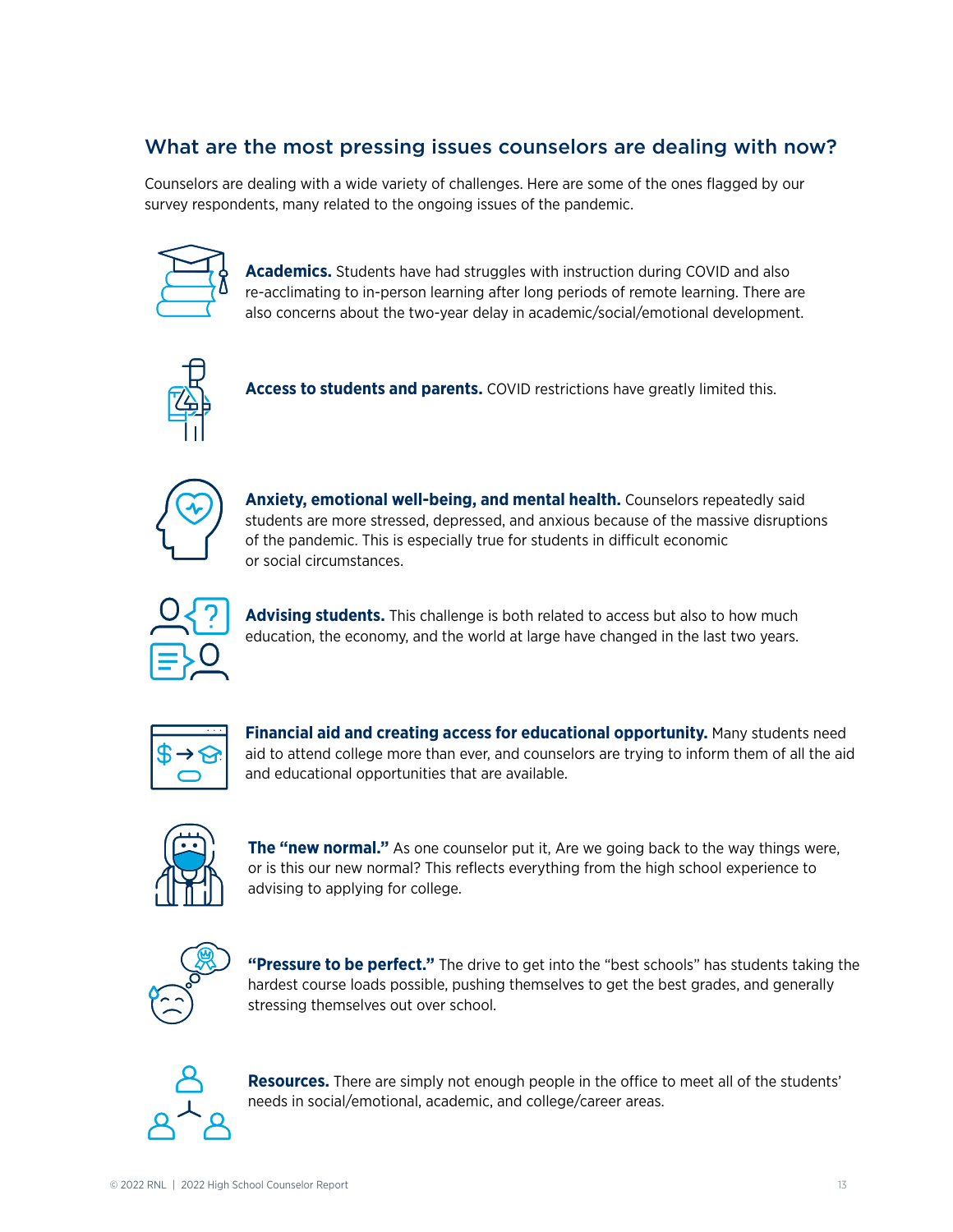# What are the most pressing issues counselors are dealing with now?

Counselors are dealing with a wide variety of challenges. Here are some of the ones flagged by our survey respondents, many related to the ongoing issues of the pandemic.



**Academics.** Students have had struggles with instruction during COVID and also re-acclimating to in-person learning after long periods of remote learning. There are also concerns about the two-year delay in academic/social/emotional development.



**Access to students and parents.** COVID restrictions have greatly limited this.



**Anxiety, emotional well-being, and mental health.** Counselors repeatedly said students are more stressed, depressed, and anxious because of the massive disruptions of the pandemic. This is especially true for students in difficult economic or social circumstances.



**Advising students.** This challenge is both related to access but also to how much education, the economy, and the world at large have changed in the last two years.



**Financial aid and creating access for educational opportunity.** Many students need aid to attend college more than ever, and counselors are trying to inform them of all the aid and educational opportunities that are available.



**The "new normal."** As one counselor put it, Are we going back to the way things were, or is this our new normal? This reflects everything from the high school experience to advising to applying for college.



**"Pressure to be perfect."** The drive to get into the "best schools" has students taking the hardest course loads possible, pushing themselves to get the best grades, and generally stressing themselves out over school.



**Resources.** There are simply not enough people in the office to meet all of the students' needs in social/emotional, academic, and college/career areas.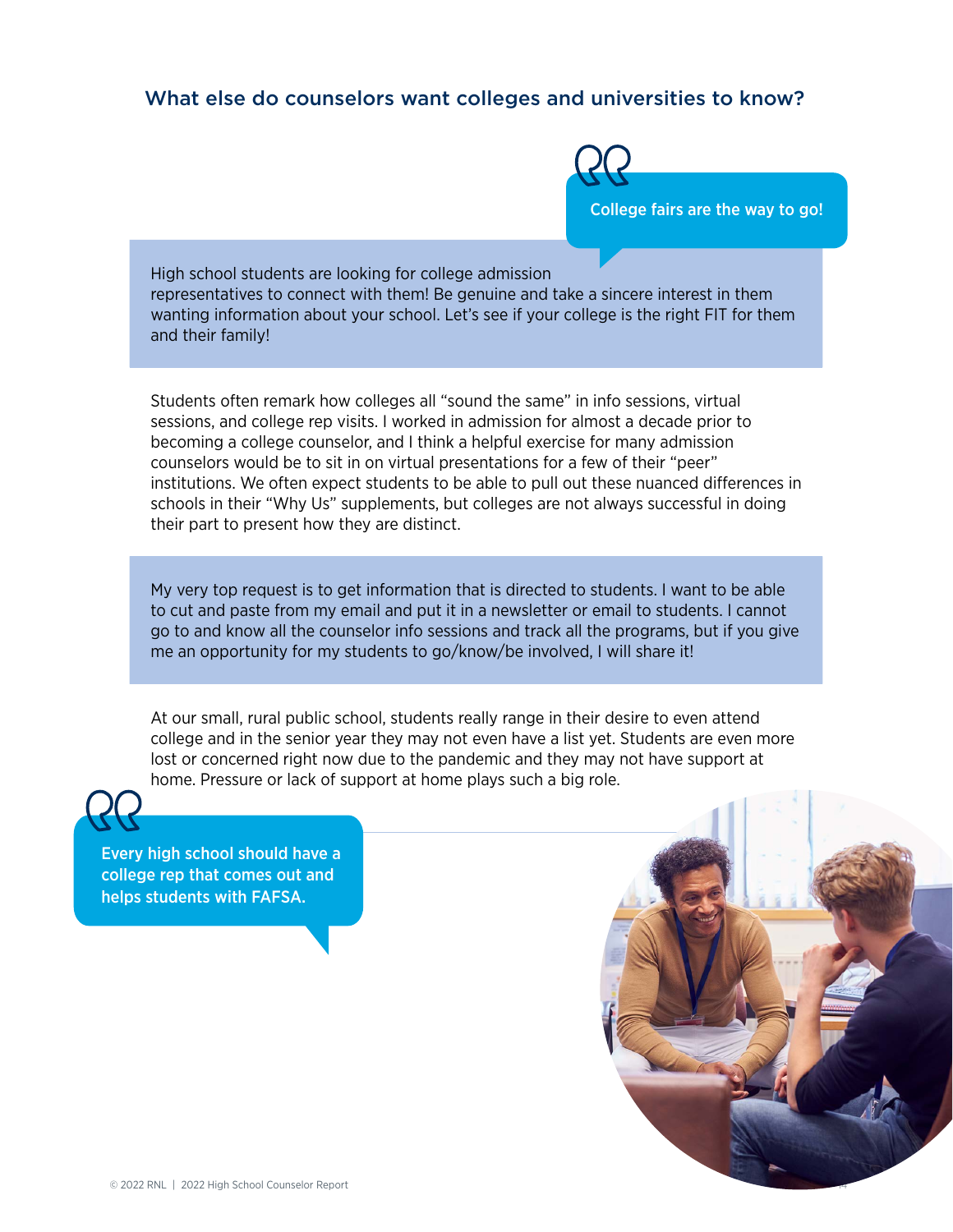### What else do counselors want colleges and universities to know?



High school students are looking for college admission representatives to connect with them! Be genuine and take a sincere interest in them wanting information about your school. Let's see if your college is the right FIT for them and their family!

Students often remark how colleges all "sound the same" in info sessions, virtual sessions, and college rep visits. I worked in admission for almost a decade prior to becoming a college counselor, and I think a helpful exercise for many admission counselors would be to sit in on virtual presentations for a few of their "peer" institutions. We often expect students to be able to pull out these nuanced differences in schools in their "Why Us" supplements, but colleges are not always successful in doing their part to present how they are distinct.

My very top request is to get information that is directed to students. I want to be able to cut and paste from my email and put it in a newsletter or email to students. I cannot go to and know all the counselor info sessions and track all the programs, but if you give me an opportunity for my students to go/know/be involved, I will share it!

At our small, rural public school, students really range in their desire to even attend college and in the senior year they may not even have a list yet. Students are even more lost or concerned right now due to the pandemic and they may not have support at home. Pressure or lack of support at home plays such a big role.



Every high school should have a college rep that comes out and helps students with FAFSA.

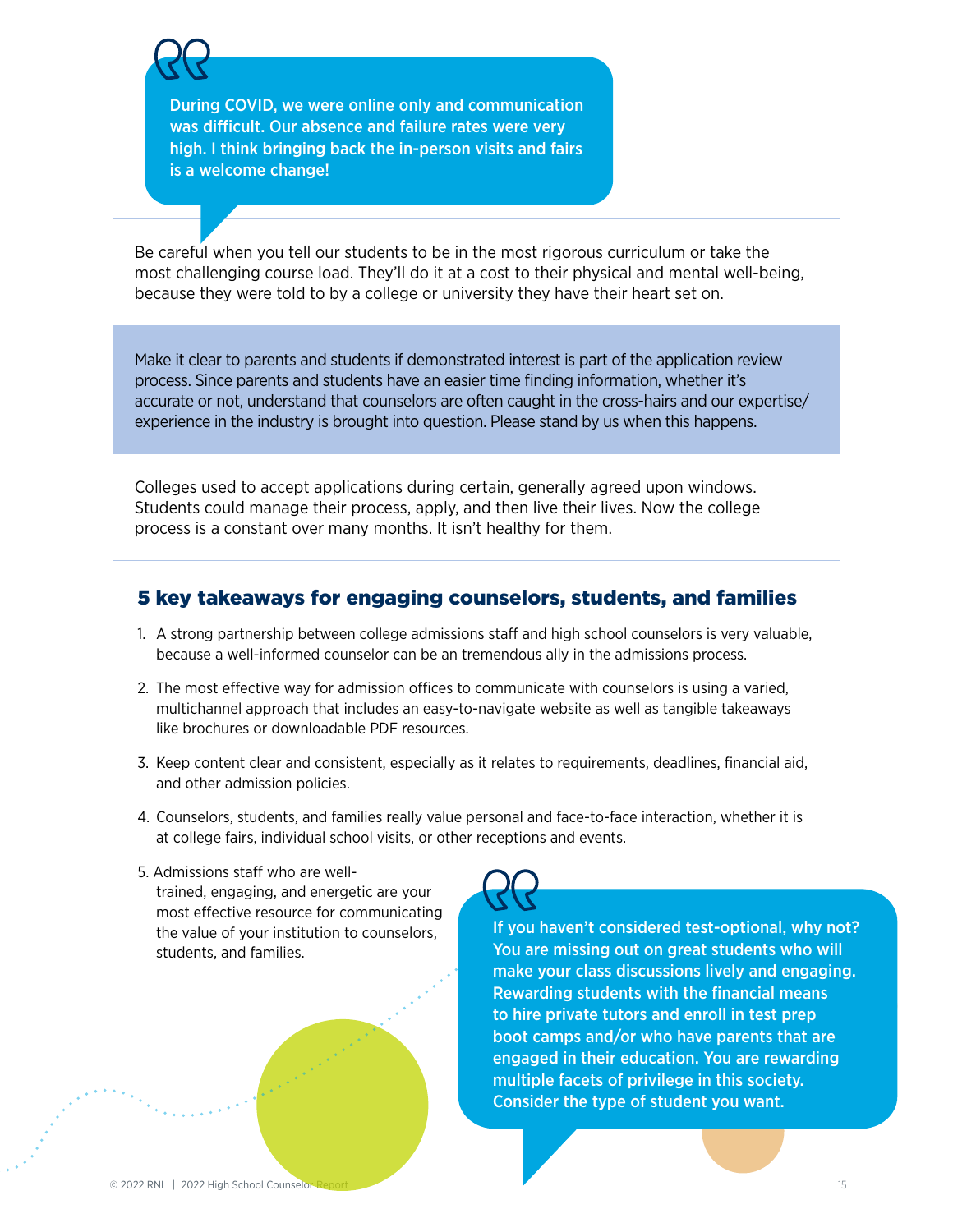During COVID, we were online only and communication was difficult. Our absence and failure rates were very high. I think bringing back the in-person visits and fairs is a welcome change!

Be careful when you tell our students to be in the most rigorous curriculum or take the most challenging course load. They'll do it at a cost to their physical and mental well-being, because they were told to by a college or university they have their heart set on.

Make it clear to parents and students if demonstrated interest is part of the application review process. Since parents and students have an easier time finding information, whether it's accurate or not, understand that counselors are often caught in the cross-hairs and our expertise/ experience in the industry is brought into question. Please stand by us when this happens.

Colleges used to accept applications during certain, generally agreed upon windows. Students could manage their process, apply, and then live their lives. Now the college process is a constant over many months. It isn't healthy for them.

### 5 key takeaways for engaging counselors, students, and families

- 1. A strong partnership between college admissions staff and high school counselors is very valuable, because a well-informed counselor can be an tremendous ally in the admissions process.
- 2. The most effective way for admission offices to communicate with counselors is using a varied, multichannel approach that includes an easy-to-navigate website as well as tangible takeaways like brochures or downloadable PDF resources.
- 3. Keep content clear and consistent, especially as it relates to requirements, deadlines, financial aid, and other admission policies.
- 4. Counselors, students, and families really value personal and face-to-face interaction, whether it is at college fairs, individual school visits, or other receptions and events.
- 5. Admissions staff who are welltrained, engaging, and energetic are your most effective resource for communicating the value of your institution to counselors, students, and families.

If you haven't considered test-optional, why not? You are missing out on great students who will make your class discussions lively and engaging. Rewarding students with the financial means to hire private tutors and enroll in test prep boot camps and/or who have parents that are engaged in their education. You are rewarding multiple facets of privilege in this society. Consider the type of student you want.